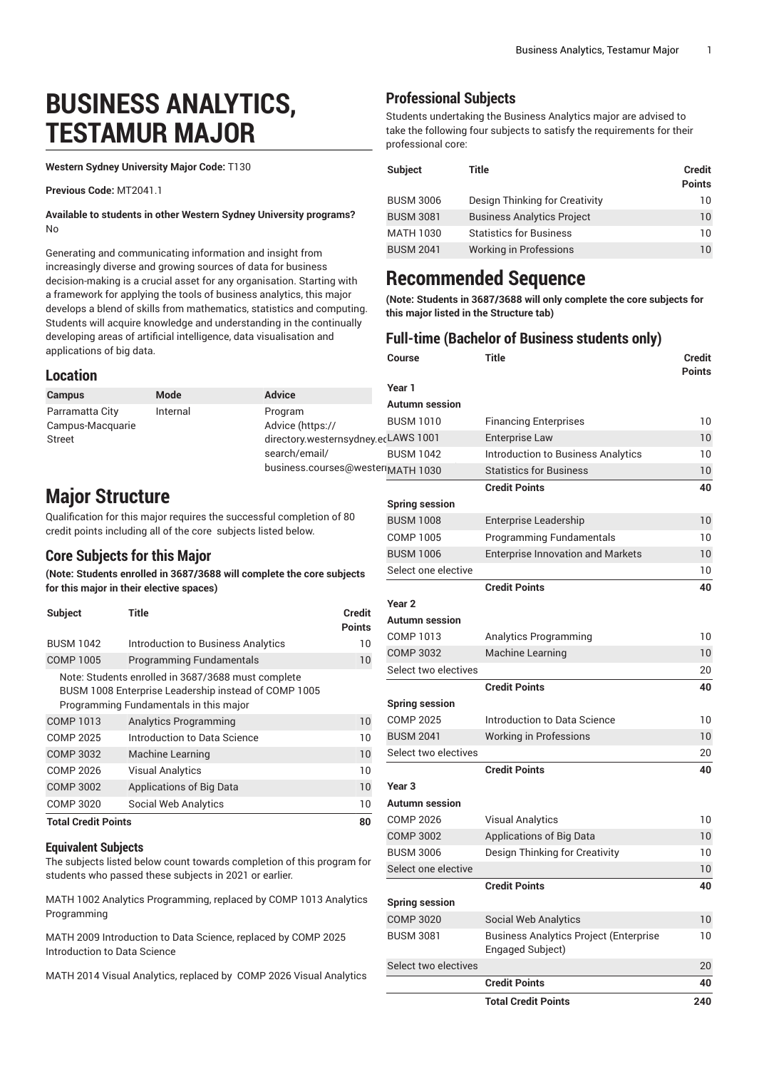# **BUSINESS ANALYTICS, TESTAMUR MAJOR**

**Western Sydney University Major Code:** T130

**Previous Code:** MT2041.1

**Available to students in other Western Sydney University programs?** No

Generating and communicating information and insight from increasingly diverse and growing sources of data for business decision-making is a crucial asset for any organisation. Starting with a framework for applying the tools of business analytics, this major develops a blend of skills from mathematics, statistics and computing. Students will acquire knowledge and understanding in the continually developing areas of artificial intelligence, data visualisation and applications of big data.

#### **Location**

| <b>Campus</b>                       | Mode     | <b>Advice</b>                       | Year 1                |                  |
|-------------------------------------|----------|-------------------------------------|-----------------------|------------------|
|                                     |          |                                     | <b>Autumn session</b> |                  |
| Parramatta City<br>Campus-Macquarie | Internal | Program<br>Advice (https://         | <b>BUSM 1010</b>      | Financing E      |
| Street                              |          | directory.westernsydney.ecLAWS 1001 |                       | Enterprise L     |
|                                     |          | search/email/                       | <b>BUSM 1042</b>      | Introduction     |
|                                     |          | business.courses@wester             |                       | $C$ tatiotica fa |

# **Major Structure**

Qualification for this major requires the successful completion of 80 credit points including all of the core subjects listed below.

### **Core Subjects for this Major**

**(Note: Students enrolled in 3687/3688 will complete the core subjects for this major in their elective spaces)**

| Subject                    | Title                                                                                                                                                | Credit<br><b>Points</b> |
|----------------------------|------------------------------------------------------------------------------------------------------------------------------------------------------|-------------------------|
| <b>BUSM 1042</b>           | Introduction to Business Analytics                                                                                                                   | 10                      |
| <b>COMP 1005</b>           | <b>Programming Fundamentals</b>                                                                                                                      | 10                      |
|                            | Note: Students enrolled in 3687/3688 must complete<br>BUSM 1008 Enterprise Leadership instead of COMP 1005<br>Programming Fundamentals in this major |                         |
| <b>COMP 1013</b>           | <b>Analytics Programming</b>                                                                                                                         | 10                      |
| COMP 2025                  | Introduction to Data Science                                                                                                                         | 10                      |
| <b>COMP 3032</b>           | Machine Learning                                                                                                                                     | 10                      |
| COMP 2026                  | <b>Visual Analytics</b>                                                                                                                              | 10                      |
| COMP 3002                  | <b>Applications of Big Data</b>                                                                                                                      | 10                      |
| <b>COMP 3020</b>           | Social Web Analytics                                                                                                                                 | 10                      |
| <b>Total Credit Points</b> |                                                                                                                                                      | 80                      |

### **Equivalent Subjects**

The subjects listed below count towards completion of this program for students who passed these subjects in 2021 or earlier.

MATH 1002 Analytics Programming, replaced by COMP 1013 Analytics Programming

MATH 2009 Introduction to Data Science, replaced by COMP 2025 Introduction to Data Science

MATH 2014 Visual Analytics, replaced by COMP 2026 Visual Analytics

### **Professional Subjects**

Students undertaking the Business Analytics major are advised to take the following four subjects to satisfy the requirements for their professional core:

| <b>Subject</b>   | Title                             | Credit<br><b>Points</b> |
|------------------|-----------------------------------|-------------------------|
| <b>BUSM 3006</b> | Design Thinking for Creativity    | 10                      |
| <b>BUSM 3081</b> | <b>Business Analytics Project</b> | 10                      |
| MATH 1030        | <b>Statistics for Business</b>    | 10                      |
| <b>BUSM 2041</b> | Working in Professions            | $10^{\circ}$            |

# **Recommended Sequence**

**(Note: Students in 3687/3688 will only complete the core subjects for this major listed in the Structure tab)**

### **Full-time (Bachelor of Business students only)**

| Course                   | <b>Title</b>                                                      | <b>Credit</b><br><b>Points</b> |
|--------------------------|-------------------------------------------------------------------|--------------------------------|
| Year 1                   |                                                                   |                                |
| Autumn session           |                                                                   |                                |
| <b>BUSM 1010</b>         | <b>Financing Enterprises</b>                                      | 10                             |
| <sub>Pr</sub> LAWS 1001  | <b>Enterprise Law</b>                                             | 10                             |
| <b>BUSM 1042</b>         | Introduction to Business Analytics                                | 10                             |
| <sup>Pri</sup> MATH 1030 | <b>Statistics for Business</b>                                    | 10                             |
|                          | <b>Credit Points</b>                                              | 40                             |
| <b>Spring session</b>    |                                                                   |                                |
| <b>BUSM 1008</b>         | Enterprise Leadership                                             | 10                             |
| <b>COMP 1005</b>         | <b>Programming Fundamentals</b>                                   | 10                             |
| <b>BUSM 1006</b>         | <b>Enterprise Innovation and Markets</b>                          | 10                             |
| Select one elective      |                                                                   | 10                             |
|                          | <b>Credit Points</b>                                              | 40                             |
| Year <sub>2</sub>        |                                                                   |                                |
| <b>Autumn session</b>    |                                                                   |                                |
| COMP 1013                | Analytics Programming                                             | 10                             |
| <b>COMP 3032</b>         | <b>Machine Learning</b>                                           | 10                             |
| Select two electives     |                                                                   | 20                             |
|                          | <b>Credit Points</b>                                              | 40                             |
| <b>Spring session</b>    |                                                                   |                                |
| <b>COMP 2025</b>         | Introduction to Data Science                                      | 10                             |
| <b>BUSM 2041</b>         | <b>Working in Professions</b>                                     | 10                             |
| Select two electives     |                                                                   | 20                             |
|                          | <b>Credit Points</b>                                              | 40                             |
| Year 3                   |                                                                   |                                |
| <b>Autumn session</b>    |                                                                   |                                |
| <b>COMP 2026</b>         | <b>Visual Analytics</b>                                           | 10                             |
| <b>COMP 3002</b>         | <b>Applications of Big Data</b>                                   | 10                             |
| <b>BUSM 3006</b>         | Design Thinking for Creativity                                    | 10                             |
| Select one elective      |                                                                   | 10                             |
|                          | <b>Credit Points</b>                                              | 40                             |
| <b>Spring session</b>    |                                                                   |                                |
| <b>COMP 3020</b>         | <b>Social Web Analytics</b>                                       | 10                             |
| <b>BUSM 3081</b>         | <b>Business Analytics Project (Enterprise</b><br>Engaged Subject) | 10                             |
| Select two electives     |                                                                   | 20                             |
|                          | <b>Credit Points</b>                                              | 40                             |
|                          | <b>Total Credit Points</b>                                        | 240                            |